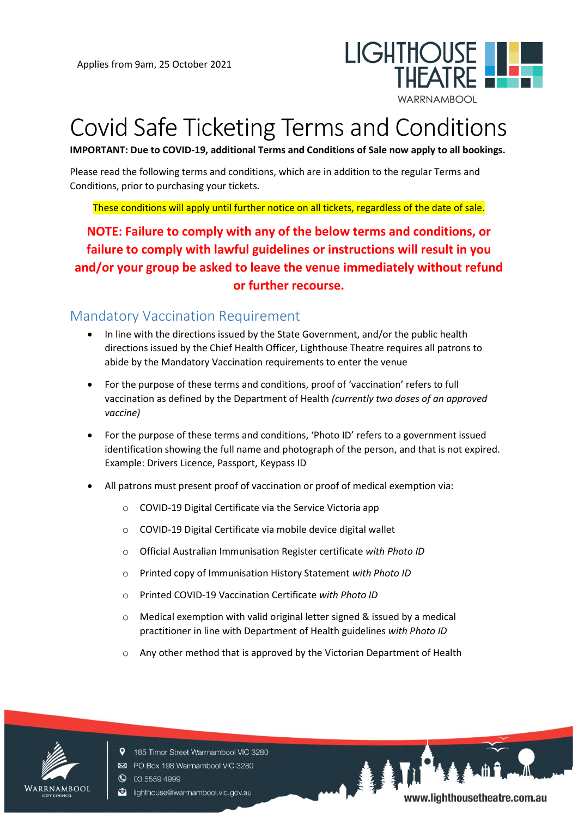

# Covid Safe Ticketing Terms and Conditions

**IMPORTANT: Due to COVID-19, additional Terms and Conditions of Sale now apply to all bookings.**

Please read the following terms and conditions, which are in addition to the regular Terms and Conditions, prior to purchasing your tickets.

These conditions will apply until further notice on all tickets, regardless of the date of sale.

**NOTE: Failure to comply with any of the below terms and conditions, or failure to comply with lawful guidelines or instructions will result in you and/or your group be asked to leave the venue immediately without refund or further recourse.**

### Mandatory Vaccination Requirement

- In line with the directions issued by the State Government, and/or the public health directions issued by the Chief Health Officer, Lighthouse Theatre requires all patrons to abide by the Mandatory Vaccination requirements to enter the venue
- For the purpose of these terms and conditions, proof of 'vaccination' refers to full vaccination as defined by the Department of Health *(currently two doses of an approved vaccine)*
- For the purpose of these terms and conditions, 'Photo ID' refers to a government issued identification showing the full name and photograph of the person, and that is not expired. Example: Drivers Licence, Passport, Keypass ID
- All patrons must present proof of vaccination or proof of medical exemption via:
	- o COVID-19 Digital Certificate via the Service Victoria app
	- o COVID-19 Digital Certificate via mobile device digital wallet
	- o Official Australian Immunisation Register certificate *with Photo ID*
	- o Printed copy of Immunisation History Statement *with Photo ID*
	- o Printed COVID-19 Vaccination Certificate *with Photo ID*
	- o Medical exemption with valid original letter signed & issued by a medical practitioner in line with Department of Health guidelines *with Photo ID*
	- o Any other method that is approved by the Victorian Department of Health



9 185 Timor Street Warrnambool VIC 3280 PO Box 198 Warrnambool VIC 3280 **Q** 03 5559 4999

c lighthouse@warrnambool.vic.gov.au

www.lighthousetheatre.com.au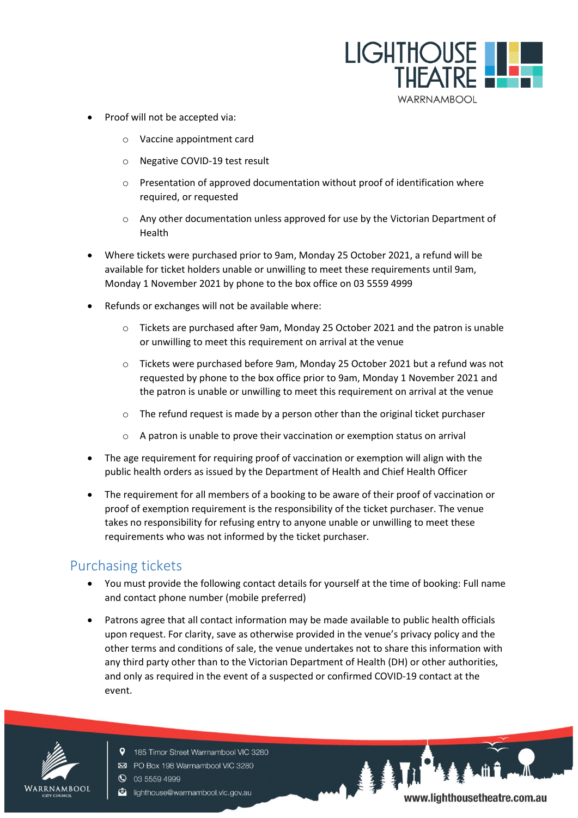

- Proof will not be accepted via:
	- o Vaccine appointment card
	- o Negative COVID-19 test result
	- o Presentation of approved documentation without proof of identification where required, or requested
	- $\circ$  Any other documentation unless approved for use by the Victorian Department of Health
- Where tickets were purchased prior to 9am, Monday 25 October 2021, a refund will be available for ticket holders unable or unwilling to meet these requirements until 9am, Monday 1 November 2021 by phone to the box office on 03 5559 4999
- Refunds or exchanges will not be available where:
	- o Tickets are purchased after 9am, Monday 25 October 2021 and the patron is unable or unwilling to meet this requirement on arrival at the venue
	- o Tickets were purchased before 9am, Monday 25 October 2021 but a refund was not requested by phone to the box office prior to 9am, Monday 1 November 2021 and the patron is unable or unwilling to meet this requirement on arrival at the venue
	- o The refund request is made by a person other than the original ticket purchaser
	- o A patron is unable to prove their vaccination or exemption status on arrival
- The age requirement for requiring proof of vaccination or exemption will align with the public health orders as issued by the Department of Health and Chief Health Officer
- The requirement for all members of a booking to be aware of their proof of vaccination or proof of exemption requirement is the responsibility of the ticket purchaser. The venue takes no responsibility for refusing entry to anyone unable or unwilling to meet these requirements who was not informed by the ticket purchaser.

# Purchasing tickets

- You must provide the following contact details for yourself at the time of booking: Full name and contact phone number (mobile preferred)
- Patrons agree that all contact information may be made available to public health officials upon request. For clarity, save as otherwise provided in the venue's privacy policy and the other terms and conditions of sale, the venue undertakes not to share this information with any third party other than to the Victorian Department of Health (DH) or other authorities, and only as required in the event of a suspected or confirmed COVID-19 contact at the event.



- PO Box 198 Warrnambool VIC 3280 **Q** 03 5559 4999
- c lighthouse@warrnambool.vic.gov.au

9 185 Timor Street Warrnambool VIC 3280

www.lighthousetheatre.com.au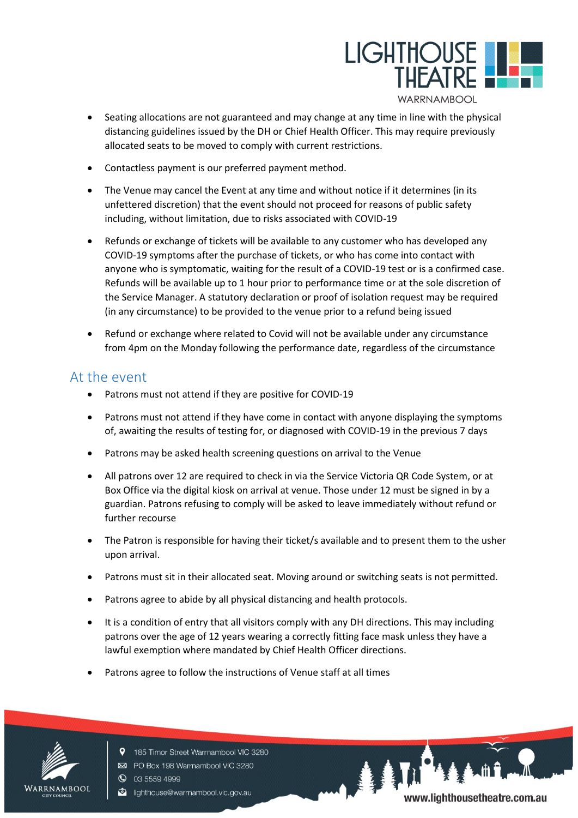

- Seating allocations are not guaranteed and may change at any time in line with the physical distancing guidelines issued by the DH or Chief Health Officer. This may require previously allocated seats to be moved to comply with current restrictions.
- Contactless payment is our preferred payment method.
- The Venue may cancel the Event at any time and without notice if it determines (in its unfettered discretion) that the event should not proceed for reasons of public safety including, without limitation, due to risks associated with COVID-19
- Refunds or exchange of tickets will be available to any customer who has developed any COVID-19 symptoms after the purchase of tickets, or who has come into contact with anyone who is symptomatic, waiting for the result of a COVID-19 test or is a confirmed case. Refunds will be available up to 1 hour prior to performance time or at the sole discretion of the Service Manager. A statutory declaration or proof of isolation request may be required (in any circumstance) to be provided to the venue prior to a refund being issued
- Refund or exchange where related to Covid will not be available under any circumstance from 4pm on the Monday following the performance date, regardless of the circumstance

#### At the event

- Patrons must not attend if they are positive for COVID-19
- Patrons must not attend if they have come in contact with anyone displaying the symptoms of, awaiting the results of testing for, or diagnosed with COVID-19 in the previous 7 days
- Patrons may be asked health screening questions on arrival to the Venue
- All patrons over 12 are required to check in via the Service Victoria QR Code System, or at Box Office via the digital kiosk on arrival at venue. Those under 12 must be signed in by a guardian. Patrons refusing to comply will be asked to leave immediately without refund or further recourse
- The Patron is responsible for having their ticket/s available and to present them to the usher upon arrival.
- Patrons must sit in their allocated seat. Moving around or switching seats is not permitted.
- Patrons agree to abide by all physical distancing and health protocols.
- It is a condition of entry that all visitors comply with any DH directions. This may including patrons over the age of 12 years wearing a correctly fitting face mask unless they have a lawful exemption where mandated by Chief Health Officer directions.
- Patrons agree to follow the instructions of Venue staff at all times



- 9 185 Timor Street Warrnambool VIC 3280 PO Box 198 Warrnambool VIC 3280
- **Q** 03 5559 4999
- c lighthouse@warrnambool.vic.gov.au

www.lighthousetheatre.com.au

**AAL**